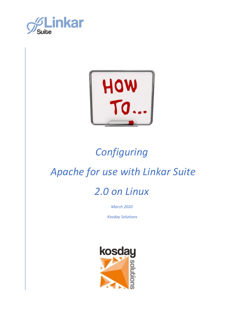



### *Configuring*

### *Apache for use with Linkar Suite*

### *2.0 on Linux*

*March 2020*

*Kosday Solutions*

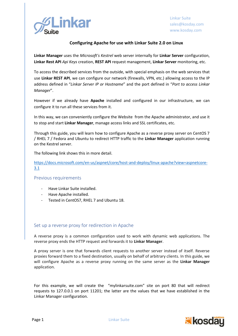

#### **Configuring Apache for use with Linkar Suite 2.0 on Linux**

**Linkar Manager** uses the *Microsoft's Kestrel* web server internally for **Linkar Server** configuration, **Linkar Rest API** *Api Keys* creation, **REST API** request management, **Linkar Server** monitoring, etc.

To access the described services from the outside, with special emphasis on the web services that use **Linkar REST API**, we can configure our network (firewalls, VPN, etc.) allowing access to the IP address defined in "*Linkar Server IP or Hostname*" and the port defined in "*Port to access Linkar Manager*".

However if we already have **Apache** installed and configured in our infrastructure, we can configure it to run all these services from it.

In this way, we can conveniently configure the Website from the Apache administrator, and use it to stop and start **Linkar Manager**, manage access links and SSL certificates, etc.

Through this guide, you will learn how to configure Apache as a reverse proxy server on CentOS 7 / RHEL 7 / Fedora and Ubuntu to redirect HTTP traffic to the **Linkar Manager** application running on the Kestrel server.

The following link shows this in more detail.

[https://docs.microsoft.com/en-us/aspnet/core/host-and-deploy/linux-apache?view=aspnetcore-](https://docs.microsoft.com/en-us/aspnet/core/host-and-deploy/linux-apache?view=aspnetcore-3.1)[3.1](https://docs.microsoft.com/en-us/aspnet/core/host-and-deploy/linux-apache?view=aspnetcore-3.1)

#### Previous requirements

- Have Linkar Suite installed.
- Have Apache installed.
- Tested in CentOS7, RHEL 7 and Ubuntu 18.

#### Set up a reverse proxy for redirection in Apache

A reverse proxy is a common configuration used to work with dynamic web applications. The reverse proxy ends the HTTP request and forwards it to **Linkar Manager**.

A proxy server is one that forwards client requests to another server instead of itself. Reverse proxies forward them to a fixed destination, usually on behalf of arbitrary clients. In this guide, we will configure Apache as a reverse proxy running on the same server as the **Linkar Manager** application.

For this example, we will create the "mylinkarsuite.com" site on port 80 that will redirect requests to 127.0.0.1 on port 11201; the latter are the values that we have established in the Linkar Manager configuration.

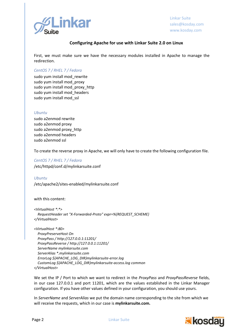

Linkar Suite sales@kosday.com www.kosday.com

#### **Configuring Apache for use with Linkar Suite 2.0 on Linux**

First, we must make sure we have the necessary modules installed in Apache to manage the redirection.

#### *CentOS 7 / RHEL 7 / Fedora*

sudo yum install mod\_rewrite sudo yum install mod\_proxy sudo yum install mod proxy http sudo yum install mod\_headers sudo yum install mod\_ssl

#### *Ubuntu*

sudo a2enmod rewrite sudo a2enmod proxy sudo a2enmod proxy\_http sudo a2enmod headers sudo a2enmod ssl

To create the reverse proxy in Apache, we will only have to create the following configuration file.

*CentOS 7 / RHEL 7 / Fedora* /etc/httpd/conf.d/mylinkarsuite.conf

*Ubuntu*  /etc/apache2/sites-enabled/mylinkarsuite.conf

with this content:

*<VirtualHost \*:\*> RequestHeader set "X-Forwarded-Proto" expr=%{REQUEST\_SCHEME} </VirtualHost>*

*<VirtualHost \*:80> ProxyPreserveHost On ProxyPass / http://127.0.0.1:11201/ ProxyPassReverse / http://127.0.0.1:11201/ ServerName mylinkarsuite.com ServerAlias \*.mylinkarsuite.com ErrorLog \${APACHE\_LOG\_DIR}mylinkarsuite-error.log CustomLog \${APACHE\_LOG\_DIR}mylinkarsuite-access.log common </VirtualHost>*

We set the IP / Port to which we want to redirect in the *ProxyPass* and *ProxyPassReverse* fields, in our case 127.0.0.1 and port 11201, which are the values established in the Linkar Manager configuration. If you have other values defined in your configuration, you should use yours.

In *ServerName* and *ServerAlias* we put the domain name corresponding to the site from which we will receive the requests, which in our case is **mylinkarsuite.com.**

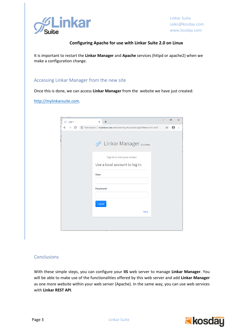

Linkar Suite sales@kosday.com www.kosday.com

#### **Configuring Apache for use with Linkar Suite 2.0 on Linux**

It is important to restart the **Linkar Manager** and **Apache** services (httpd or apache2) when we make a configuration change.

#### Accessing Linkar Manager from the new site

Once this is done, we can access **Linkar Manager** from the website we have just created:

[http://mylinkarsuite.com.](http://mylinkarsuite.com/)

| $\Box$ Log in | $\ddot{}$<br>$\times$                                                                                                                              |   | $\Box$ | $\times$ |
|---------------|----------------------------------------------------------------------------------------------------------------------------------------------------|---|--------|----------|
|               | $\rightarrow$ $\mathbb{C}$ (i) Not secure   mylinkarsuite.com/Identity/Account/Login?ReturnUrl=%2F                                                 | ☆ | Θ      | ÷        |
|               | G Linkar Manager 2.0.2 Beta<br>Sign in to start your session<br>Use a local account to log in.<br><b>User</b><br><b>Password</b><br>Log in<br>Help |   |        |          |
|               |                                                                                                                                                    |   |        |          |
|               |                                                                                                                                                    |   |        |          |

#### Conclusions

With these simple steps, you can configure your **IIS** web server to manage **Linkar Manager**. You will be able to make use of the functionalities offered by this web server and add **Linkar Manager** as one more website within your web server (Apache). In the same way, you can use web services with **Linkar REST API**.

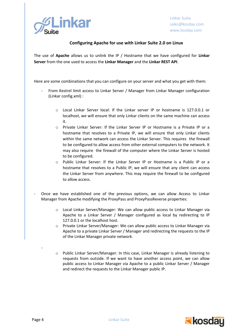

#### **Configuring Apache for use with Linkar Suite 2.0 on Linux**

The use of **Apache** allows us to unlink the IP / Hostname that we have configured for **Linkar Server** from the one used to access the **Linkar Manager** and the **Linkar REST API**.

Here are some combinations that you can configure on your server and what you get with them:

- From Kestrel limit access to Linkar Server / Manager from Linkar Manager configuration (Linkar config.xml) :
	- o Local Linkar Server local: If the Linkar server IP or hostname is 127.0.0.1 or localhost, we will ensure that only Linkar clients on the same machine can access it.
	- o Private Linkar Server: If the Linkar Server IP or Hostname is a Private IP or a hostname that resolves to a Private IP, we will ensure that only Linkar clients within the same network can access the Linkar Server. This requires the firewall to be configured to allow access from other external computers to the network. It may also require the firewall of the computer where the Linkar Server is hosted to be configured.
	- o Public Linkar Server: If the Linkar Server IP or Hostname is a Public IP or a hostname that resolves to a Public IP, we will ensure that any client can access the Linkar Server from anywhere. This may require the firewall to be configured to allow access.
- Once we have established one of the previous options, we can allow Access to Linkar Manager from Apache modifying the ProxyPass and ProxyPassReverse properties:
	- o Local Linkar Server/Manager: We can allow public access to Linkar Manager via Apache to a Linkar Server / Manager configured as local by redirecting to IP 127.0.0.1 or the localhost host.
	- o Private Linkar Server/Manager: We can allow public access to Linkar Manager via Apache to a private Linkar Server / Manager and redirecting the requests to the IP of the Linkar Manager private network.
	- o Public Linkar Server/Manager: In this case, Linkar Manager is already listening to requests from outside. If we want to have another access point, we can allow public access to Linkar Manager via Apache to a public Linkar Server / Manager and redirect the requests to the Linkar Manager public IP.



-